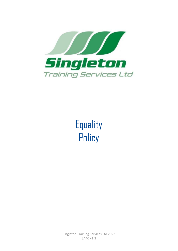

**Equality Policy** 

Singleton Training Services Ltd 2022 SA40 v1.3